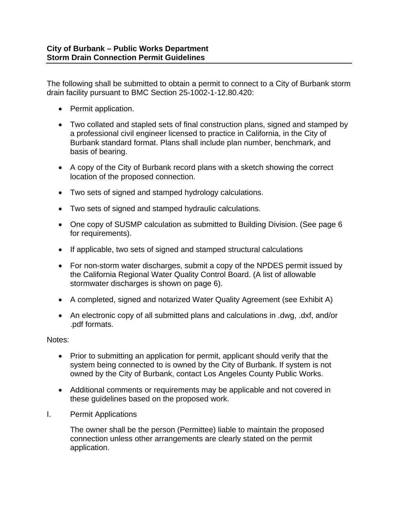The following shall be submitted to obtain a permit to connect to a City of Burbank storm drain facility pursuant to BMC Section 25-1002-1-12.80.420:

- Permit application.
- Two collated and stapled sets of final construction plans, signed and stamped by a professional civil engineer licensed to practice in California, in the City of Burbank standard format. Plans shall include plan number, benchmark, and basis of bearing.
- A copy of the City of Burbank record plans with a sketch showing the correct location of the proposed connection.
- Two sets of signed and stamped hydrology calculations.
- Two sets of signed and stamped hydraulic calculations.
- One copy of SUSMP calculation as submitted to Building Division. (See page 6 for requirements).
- If applicable, two sets of signed and stamped structural calculations
- For non-storm water discharges, submit a copy of the NPDES permit issued by the California Regional Water Quality Control Board. (A list of allowable stormwater discharges is shown on page 6).
- A completed, signed and notarized Water Quality Agreement (see Exhibit A)
- An electronic copy of all submitted plans and calculations in .dwg, .dxf, and/or .pdf formats.

Notes:

- Prior to submitting an application for permit, applicant should verify that the system being connected to is owned by the City of Burbank. If system is not owned by the City of Burbank, contact Los Angeles County Public Works.
- Additional comments or requirements may be applicable and not covered in these guidelines based on the proposed work.
- I. Permit Applications

The owner shall be the person (Permittee) liable to maintain the proposed connection unless other arrangements are clearly stated on the permit application.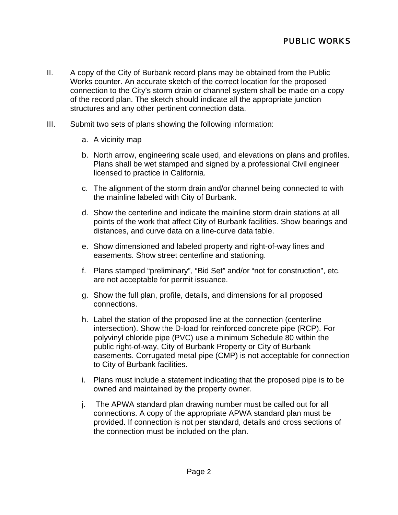- II. A copy of the City of Burbank record plans may be obtained from the Public Works counter. An accurate sketch of the correct location for the proposed connection to the City's storm drain or channel system shall be made on a copy of the record plan. The sketch should indicate all the appropriate junction structures and any other pertinent connection data.
- III. Submit two sets of plans showing the following information:
	- a. A vicinity map
	- b. North arrow, engineering scale used, and elevations on plans and profiles. Plans shall be wet stamped and signed by a professional Civil engineer licensed to practice in California.
	- c. The alignment of the storm drain and/or channel being connected to with the mainline labeled with City of Burbank.
	- d. Show the centerline and indicate the mainline storm drain stations at all points of the work that affect City of Burbank facilities. Show bearings and distances, and curve data on a line-curve data table.
	- e. Show dimensioned and labeled property and right-of-way lines and easements. Show street centerline and stationing.
	- f. Plans stamped "preliminary", "Bid Set" and/or "not for construction", etc. are not acceptable for permit issuance.
	- g. Show the full plan, profile, details, and dimensions for all proposed connections.
	- h. Label the station of the proposed line at the connection (centerline intersection). Show the D-load for reinforced concrete pipe (RCP). For polyvinyl chloride pipe (PVC) use a minimum Schedule 80 within the public right-of-way, City of Burbank Property or City of Burbank easements. Corrugated metal pipe (CMP) is not acceptable for connection to City of Burbank facilities.
	- i. Plans must include a statement indicating that the proposed pipe is to be owned and maintained by the property owner.
	- j. The APWA standard plan drawing number must be called out for all connections. A copy of the appropriate APWA standard plan must be provided. If connection is not per standard, details and cross sections of the connection must be included on the plan.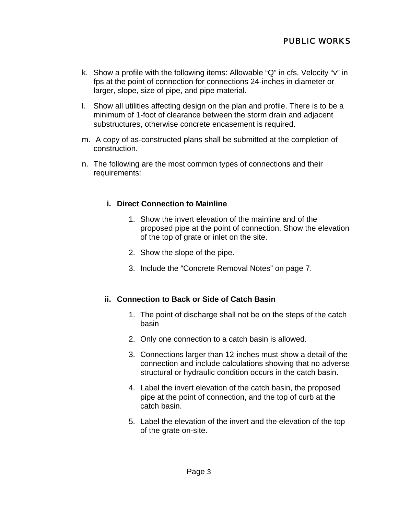- k. Show a profile with the following items: Allowable "Q" in cfs, Velocity "v" in fps at the point of connection for connections 24-inches in diameter or larger, slope, size of pipe, and pipe material.
- l. Show all utilities affecting design on the plan and profile. There is to be a minimum of 1-foot of clearance between the storm drain and adjacent substructures, otherwise concrete encasement is required.
- m. A copy of as-constructed plans shall be submitted at the completion of construction.
- n. The following are the most common types of connections and their requirements:

### **i. Direct Connection to Mainline**

- 1. Show the invert elevation of the mainline and of the proposed pipe at the point of connection. Show the elevation of the top of grate or inlet on the site.
- 2. Show the slope of the pipe.
- 3. Include the "Concrete Removal Notes" on page 7.

#### **ii. Connection to Back or Side of Catch Basin**

- 1. The point of discharge shall not be on the steps of the catch basin
- 2. Only one connection to a catch basin is allowed.
- 3. Connections larger than 12-inches must show a detail of the connection and include calculations showing that no adverse structural or hydraulic condition occurs in the catch basin.
- 4. Label the invert elevation of the catch basin, the proposed pipe at the point of connection, and the top of curb at the catch basin.
- 5. Label the elevation of the invert and the elevation of the top of the grate on-site.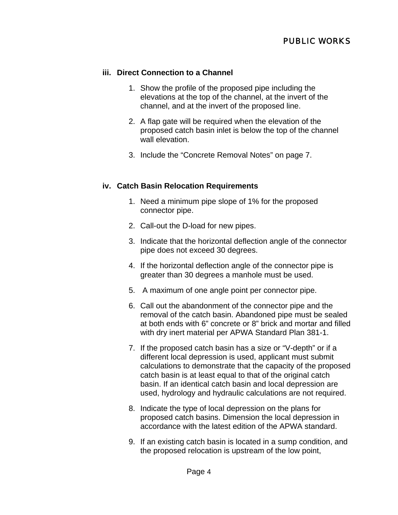## **iii. Direct Connection to a Channel**

- 1. Show the profile of the proposed pipe including the elevations at the top of the channel, at the invert of the channel, and at the invert of the proposed line.
- 2. A flap gate will be required when the elevation of the proposed catch basin inlet is below the top of the channel wall elevation.
- 3. Include the "Concrete Removal Notes" on page 7.

### **iv. Catch Basin Relocation Requirements**

- 1. Need a minimum pipe slope of 1% for the proposed connector pipe.
- 2. Call-out the D-load for new pipes.
- 3. Indicate that the horizontal deflection angle of the connector pipe does not exceed 30 degrees.
- 4. If the horizontal deflection angle of the connector pipe is greater than 30 degrees a manhole must be used.
- 5. A maximum of one angle point per connector pipe.
- 6. Call out the abandonment of the connector pipe and the removal of the catch basin. Abandoned pipe must be sealed at both ends with 6" concrete or 8" brick and mortar and filled with dry inert material per APWA Standard Plan 381-1.
- 7. If the proposed catch basin has a size or "V-depth" or if a different local depression is used, applicant must submit calculations to demonstrate that the capacity of the proposed catch basin is at least equal to that of the original catch basin. If an identical catch basin and local depression are used, hydrology and hydraulic calculations are not required.
- 8. Indicate the type of local depression on the plans for proposed catch basins. Dimension the local depression in accordance with the latest edition of the APWA standard.
- 9. If an existing catch basin is located in a sump condition, and the proposed relocation is upstream of the low point,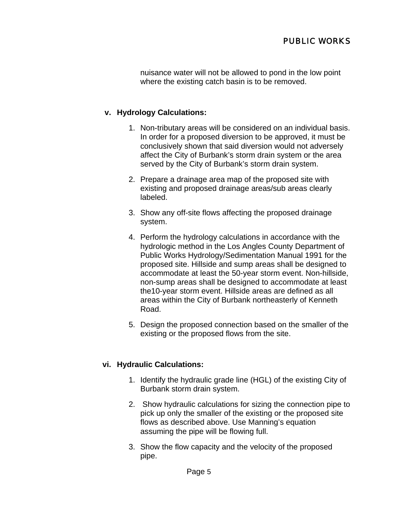## PUBLIC WORKS

nuisance water will not be allowed to pond in the low point where the existing catch basin is to be removed.

### **v. Hydrology Calculations:**

- 1. Non-tributary areas will be considered on an individual basis. In order for a proposed diversion to be approved, it must be conclusively shown that said diversion would not adversely affect the City of Burbank's storm drain system or the area served by the City of Burbank's storm drain system.
- 2. Prepare a drainage area map of the proposed site with existing and proposed drainage areas/sub areas clearly labeled.
- 3. Show any off-site flows affecting the proposed drainage system.
- 4. Perform the hydrology calculations in accordance with the hydrologic method in the Los Angles County Department of Public Works Hydrology/Sedimentation Manual 1991 for the proposed site. Hillside and sump areas shall be designed to accommodate at least the 50-year storm event. Non-hillside, non-sump areas shall be designed to accommodate at least the10-year storm event. Hillside areas are defined as all areas within the City of Burbank northeasterly of Kenneth Road.
- 5. Design the proposed connection based on the smaller of the existing or the proposed flows from the site.

#### **vi. Hydraulic Calculations:**

- 1. Identify the hydraulic grade line (HGL) of the existing City of Burbank storm drain system.
- 2. Show hydraulic calculations for sizing the connection pipe to pick up only the smaller of the existing or the proposed site flows as described above. Use Manning's equation assuming the pipe will be flowing full.
- 3. Show the flow capacity and the velocity of the proposed pipe.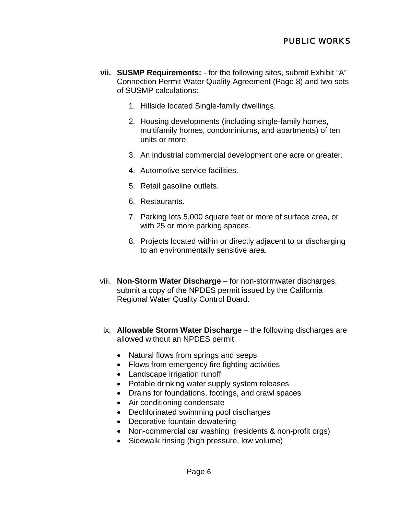# PUBLIC WORKS

- **vii. SUSMP Requirements:**  for the following sites, submit Exhibit "A" Connection Permit Water Quality Agreement (Page 8) and two sets of SUSMP calculations:
	- 1. Hillside located Single-family dwellings.
	- 2. Housing developments (including single-family homes, multifamily homes, condominiums, and apartments) of ten units or more.
	- 3. An industrial commercial development one acre or greater.
	- 4. Automotive service facilities.
	- 5. Retail gasoline outlets.
	- 6. Restaurants.
	- 7. Parking lots 5,000 square feet or more of surface area, or with 25 or more parking spaces.
	- 8. Projects located within or directly adjacent to or discharging to an environmentally sensitive area.
- viii. **Non-Storm Water Discharge** for non-stormwater discharges, submit a copy of the NPDES permit issued by the California Regional Water Quality Control Board.
- ix. **Allowable Storm Water Discharge** the following discharges are allowed without an NPDES permit:
	- Natural flows from springs and seeps
	- Flows from emergency fire fighting activities
	- Landscape irrigation runoff
	- Potable drinking water supply system releases
	- Drains for foundations, footings, and crawl spaces
	- Air conditioning condensate
	- Dechlorinated swimming pool discharges
	- Decorative fountain dewatering
	- Non-commercial car washing (residents & non-profit orgs)
	- Sidewalk rinsing (high pressure, low volume)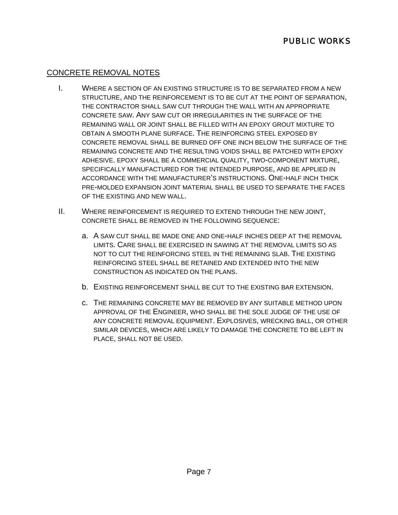# CONCRETE REMOVAL NOTES

- I. WHERE A SECTION OF AN EXISTING STRUCTURE IS TO BE SEPARATED FROM A NEW STRUCTURE, AND THE REINFORCEMENT IS TO BE CUT AT THE POINT OF SEPARATION, THE CONTRACTOR SHALL SAW CUT THROUGH THE WALL WITH AN APPROPRIATE CONCRETE SAW. ANY SAW CUT OR IRREGULARITIES IN THE SURFACE OF THE REMAINING WALL OR JOINT SHALL BE FILLED WITH AN EPOXY GROUT MIXTURE TO OBTAIN A SMOOTH PLANE SURFACE. THE REINFORCING STEEL EXPOSED BY CONCRETE REMOVAL SHALL BE BURNED OFF ONE INCH BELOW THE SURFACE OF THE REMAINING CONCRETE AND THE RESULTING VOIDS SHALL BE PATCHED WITH EPOXY ADHESIVE. EPOXY SHALL BE A COMMERCIAL QUALITY, TWO-COMPONENT MIXTURE, SPECIFICALLY MANUFACTURED FOR THE INTENDED PURPOSE, AND BE APPLIED IN ACCORDANCE WITH THE MANUFACTURER'S INSTRUCTIONS. ONE-HALF INCH THICK PRE-MOLDED EXPANSION JOINT MATERIAL SHALL BE USED TO SEPARATE THE FACES OF THE EXISTING AND NEW WALL.
- II. WHERE REINFORCEMENT IS REQUIRED TO EXTEND THROUGH THE NEW JOINT, CONCRETE SHALL BE REMOVED IN THE FOLLOWING SEQUENCE:
	- a. A SAW CUT SHALL BE MADE ONE AND ONE-HALF INCHES DEEP AT THE REMOVAL LIMITS. CARE SHALL BE EXERCISED IN SAWING AT THE REMOVAL LIMITS SO AS NOT TO CUT THE REINFORCING STEEL IN THE REMAINING SLAB. THE EXISTING REINFORCING STEEL SHALL BE RETAINED AND EXTENDED INTO THE NEW CONSTRUCTION AS INDICATED ON THE PLANS.
	- b. EXISTING REINFORCEMENT SHALL BE CUT TO THE EXISTING BAR EXTENSION.
	- c. THE REMAINING CONCRETE MAY BE REMOVED BY ANY SUITABLE METHOD UPON APPROVAL OF THE ENGINEER, WHO SHALL BE THE SOLE JUDGE OF THE USE OF ANY CONCRETE REMOVAL EQUIPMENT. EXPLOSIVES, WRECKING BALL, OR OTHER SIMILAR DEVICES, WHICH ARE LIKELY TO DAMAGE THE CONCRETE TO BE LEFT IN PLACE, SHALL NOT BE USED.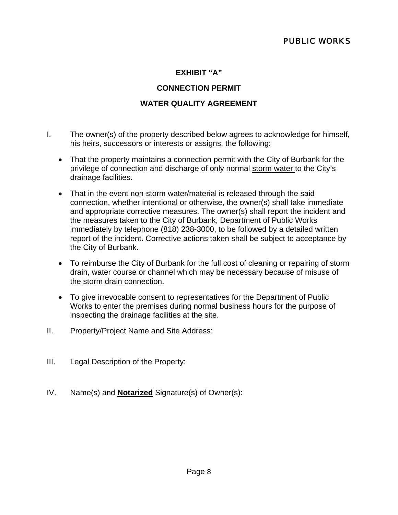### **EXHIBIT "A"**

### **CONNECTION PERMIT**

### **WATER QUALITY AGREEMENT**

- I. The owner(s) of the property described below agrees to acknowledge for himself, his heirs, successors or interests or assigns, the following:
	- That the property maintains a connection permit with the City of Burbank for the privilege of connection and discharge of only normal storm water to the City's drainage facilities.
	- That in the event non-storm water/material is released through the said connection, whether intentional or otherwise, the owner(s) shall take immediate and appropriate corrective measures. The owner(s) shall report the incident and the measures taken to the City of Burbank, Department of Public Works immediately by telephone (818) 238-3000, to be followed by a detailed written report of the incident. Corrective actions taken shall be subject to acceptance by the City of Burbank.
	- To reimburse the City of Burbank for the full cost of cleaning or repairing of storm drain, water course or channel which may be necessary because of misuse of the storm drain connection.
	- To give irrevocable consent to representatives for the Department of Public Works to enter the premises during normal business hours for the purpose of inspecting the drainage facilities at the site.
- II. Property/Project Name and Site Address:
- III. Legal Description of the Property:
- IV. Name(s) and **Notarized** Signature(s) of Owner(s):